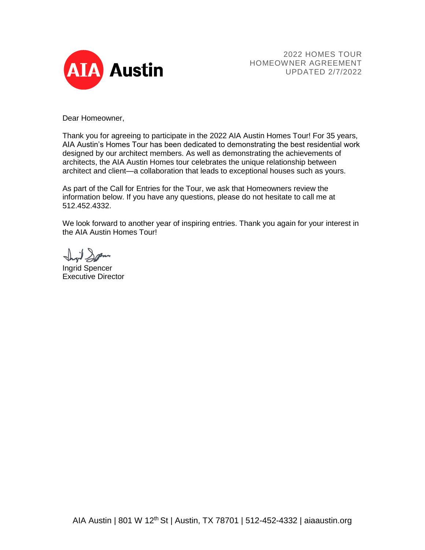

2022 HOMES TOUR HOMEOWNER AGREEMENT UPDATED 2/7/2022

Dear Homeowner,

Thank you for agreeing to participate in the 2022 AIA Austin Homes Tour! For 35 years, AIA Austin's Homes Tour has been dedicated to demonstrating the best residential work designed by our architect members. As well as demonstrating the achievements of architects, the AIA Austin Homes tour celebrates the unique relationship between architect and client—a collaboration that leads to exceptional houses such as yours.

As part of the Call for Entries for the Tour, we ask that Homeowners review the information below. If you have any questions, please do not hesitate to call me at 512.452.4332.

We look forward to another year of inspiring entries. Thank you again for your interest in the AIA Austin Homes Tour!

il Span

Ingrid Spencer Executive Director